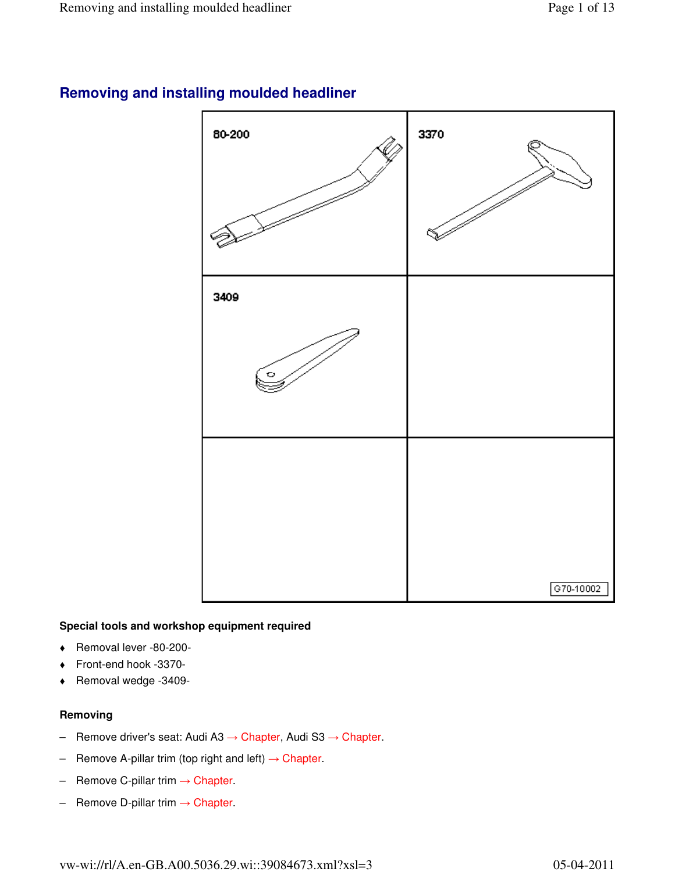

# **Removing and installing moulded headliner**

### **Special tools and workshop equipment required**

- Removal lever -80-200-
- Front-end hook -3370-
- Removal wedge -3409-

### **Removing**

- Remove driver's seat: Audi A3 → Chapter, Audi S3 → Chapter.
- Remove A-pillar trim (top right and left)  $\rightarrow$  Chapter.
- Remove C-pillar trim  $\rightarrow$  Chapter.
- $-$  Remove D-pillar trim  $\rightarrow$  Chapter.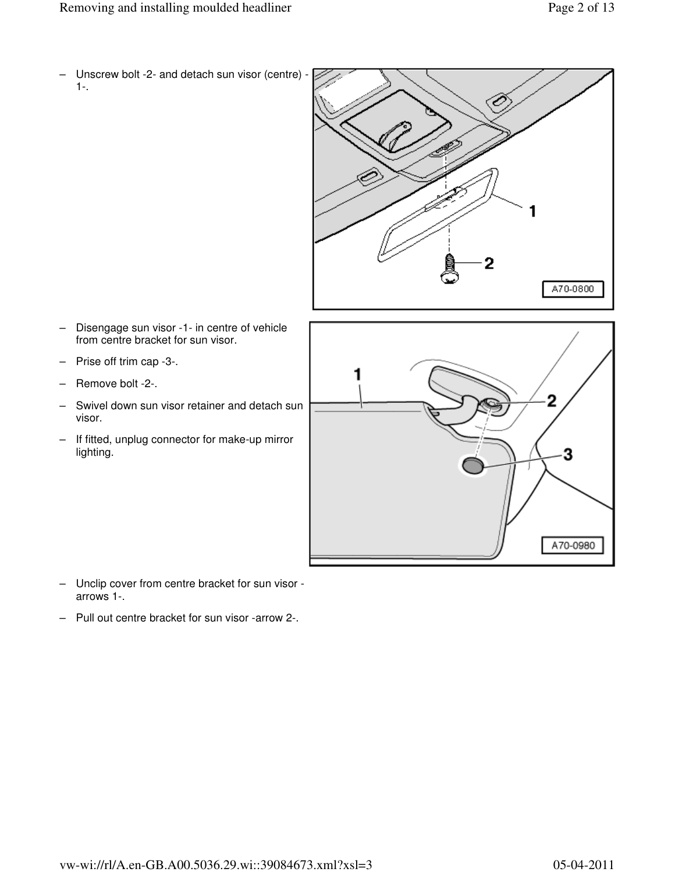– Unscrew bolt -2- and detach sun visor (centre) - 1-.



- Disengage sun visor -1- in centre of vehicle from centre bracket for sun visor.
- Prise off trim cap -3-.
- Remove bolt -2-.
- Swivel down sun visor retainer and detach sun visor.
- If fitted, unplug connector for make-up mirror lighting.



- Unclip cover from centre bracket for sun visor arrows 1-.
- Pull out centre bracket for sun visor -arrow 2-.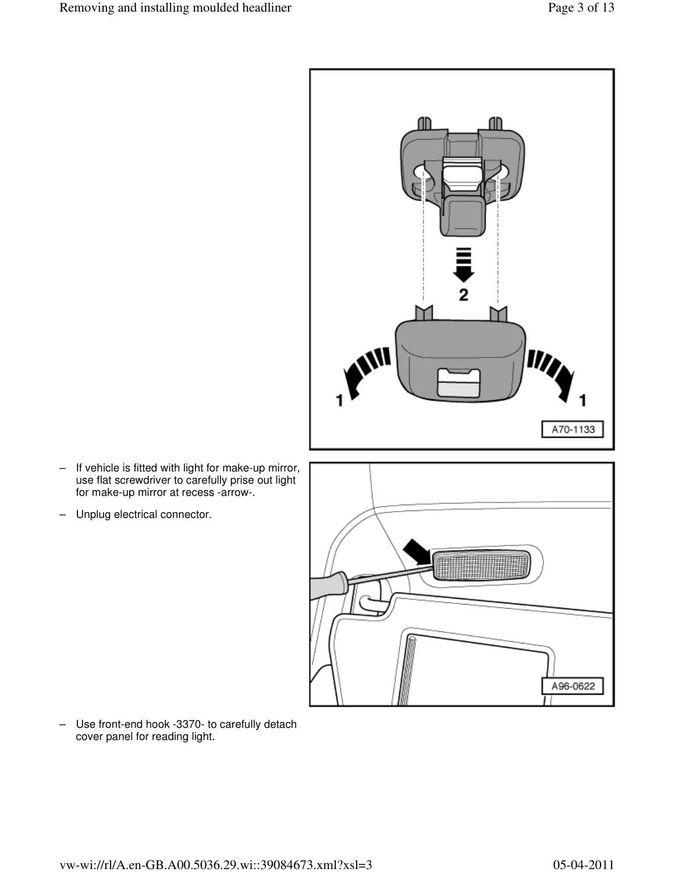

- If vehicle is fitted with light for make-up mirror, use flat screwdriver to carefully prise out light for make-up mirror at recess -arrow-.
- Unplug electrical connector.



– Use front-end hook -3370- to carefully detach cover panel for reading light.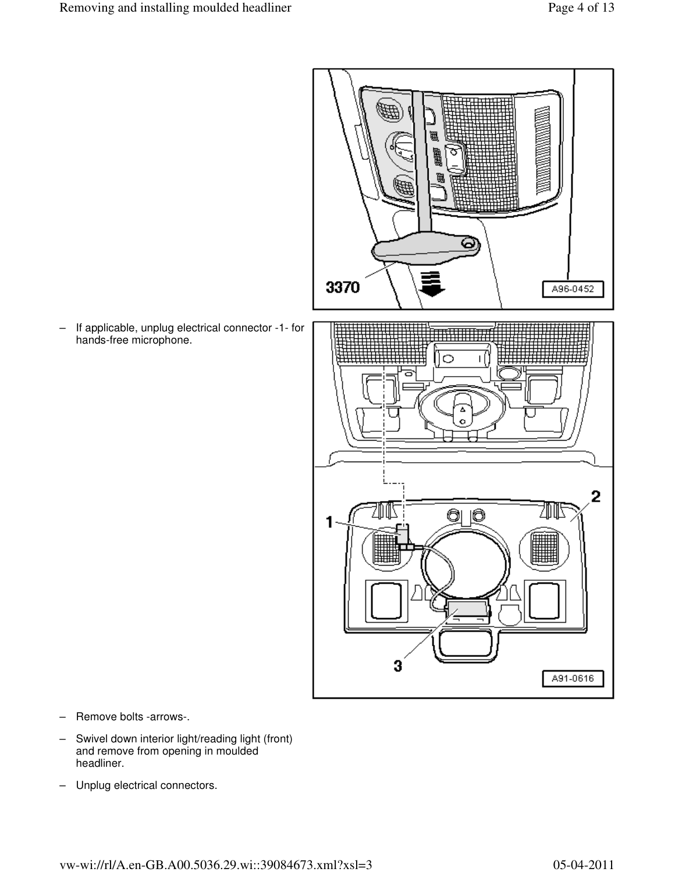

– If applicable, unplug electrical connector -1- for hands-free microphone.

- Remove bolts -arrows-.
- Swivel down interior light/reading light (front) and remove from opening in moulded headliner.
- Unplug electrical connectors.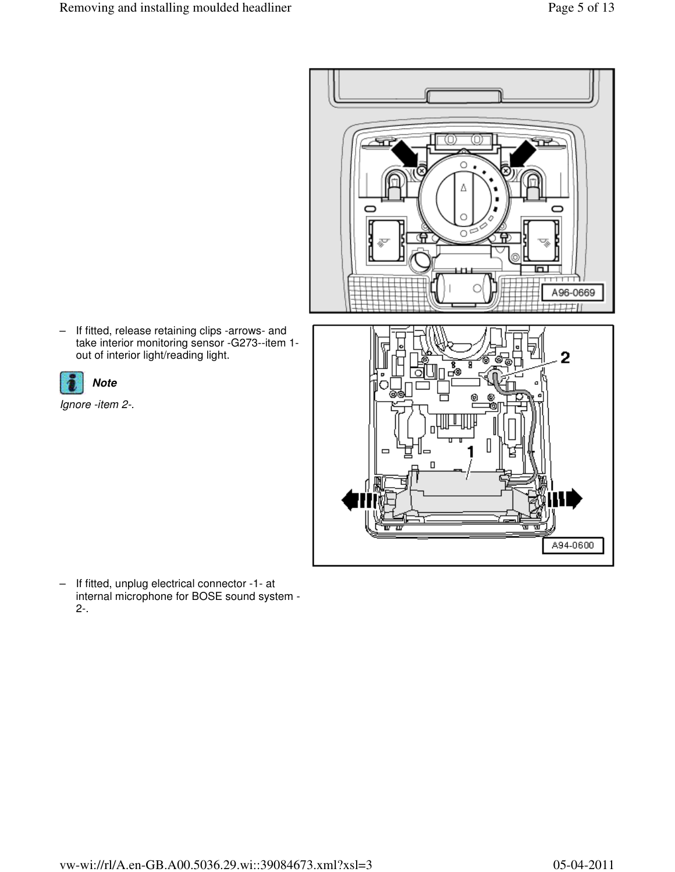

– If fitted, release retaining clips -arrows- and take interior monitoring sensor -G273--item 1 out of interior light/reading light.



Ignore -item 2-.

– If fitted, unplug electrical connector -1- at internal microphone for BOSE sound system - 2-.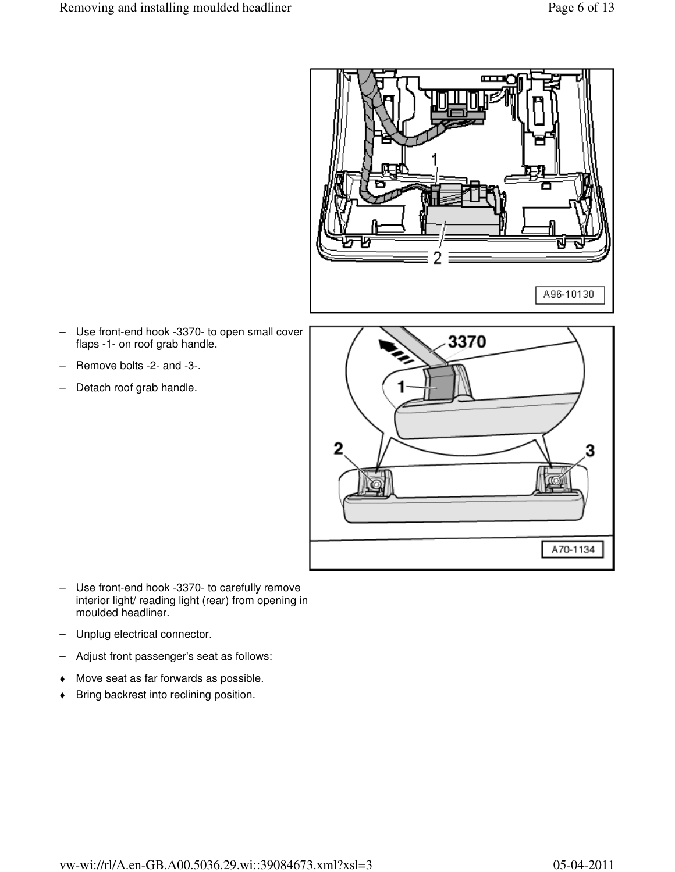

- Use front-end hook -3370- to open small cover flaps -1- on roof grab handle.
- Remove bolts -2- and -3-.
- Detach roof grab handle.



- Use front-end hook -3370- to carefully remove interior light/ reading light (rear) from opening in moulded headliner.
- Unplug electrical connector.
- Adjust front passenger's seat as follows:
- Move seat as far forwards as possible.
- Bring backrest into reclining position.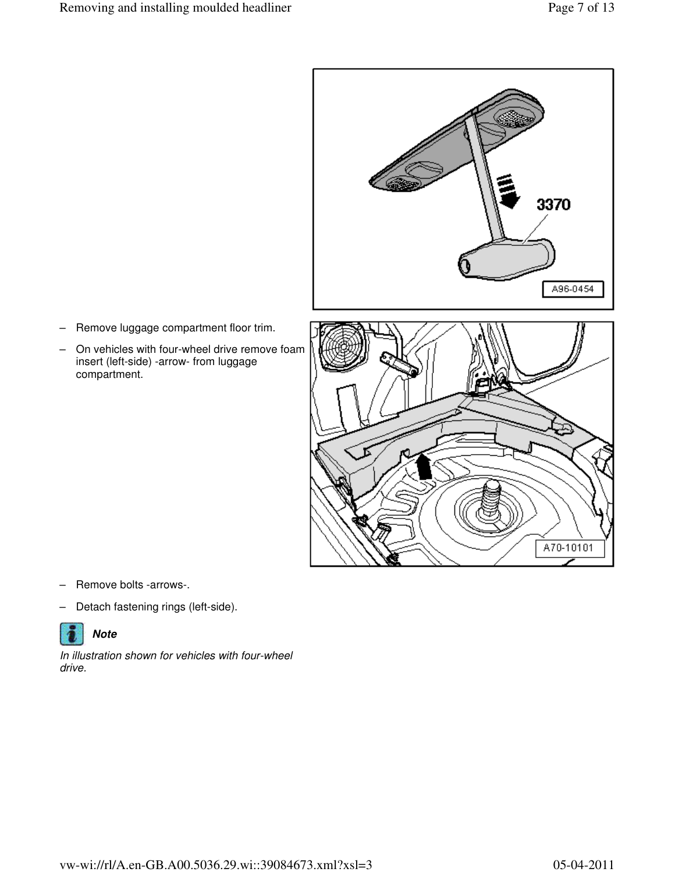

- Remove luggage compartment floor trim.
- On vehicles with four-wheel drive remove foam insert (left-side) -arrow- from luggage compartment.



- Remove bolts -arrows-.
- Detach fastening rings (left-side).



In illustration shown for vehicles with four-wheel drive.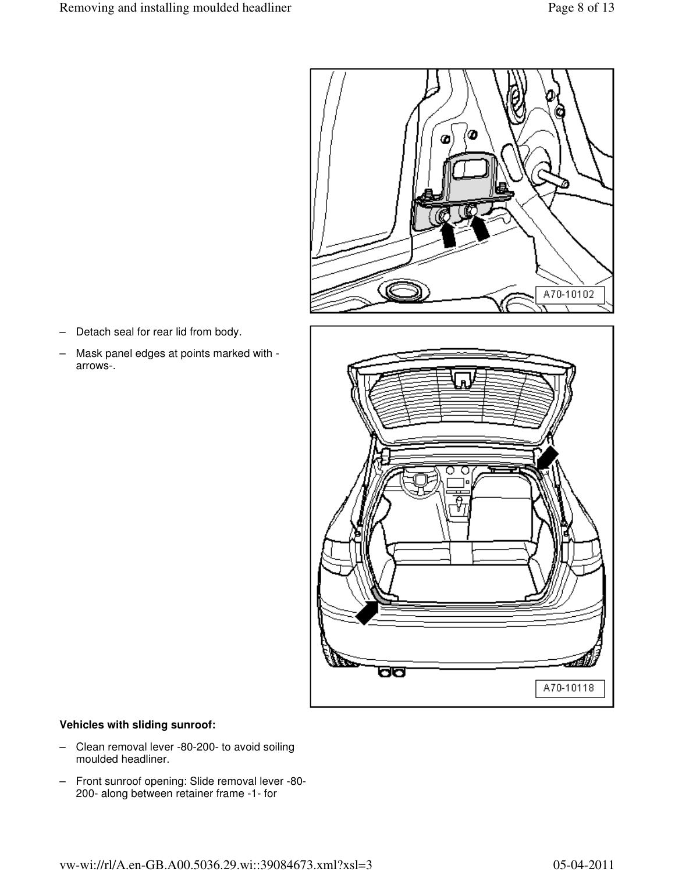

- Detach seal for rear lid from body.
- Mask panel edges at points marked with arrows-.



### **Vehicles with sliding sunroof:**

- Clean removal lever -80-200- to avoid soiling moulded headliner.
- Front sunroof opening: Slide removal lever -80- 200- along between retainer frame -1- for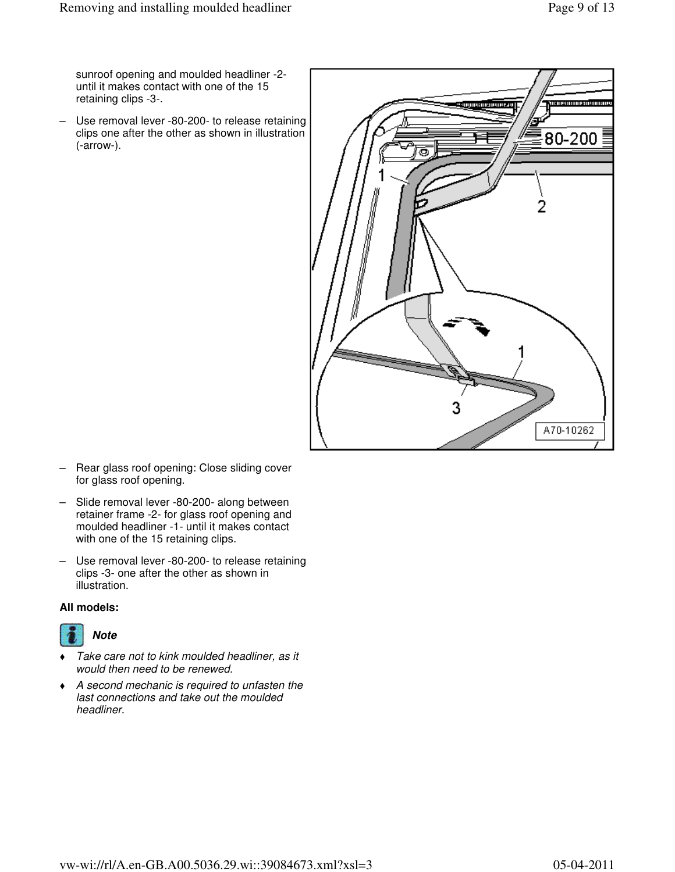sunroof opening and moulded headliner -2 until it makes contact with one of the 15 retaining clips -3-.

– Use removal lever -80-200- to release retaining clips one after the other as shown in illustration (-arrow-).



- Rear glass roof opening: Close sliding cover for glass roof opening.
- Slide removal lever -80-200- along between retainer frame -2- for glass roof opening and moulded headliner -1- until it makes contact with one of the 15 retaining clips.
- Use removal lever -80-200- to release retaining clips -3- one after the other as shown in illustration.

### **All models:**



- Take care not to kink moulded headliner, as it would then need to be renewed.
- A second mechanic is required to unfasten the last connections and take out the moulded headliner.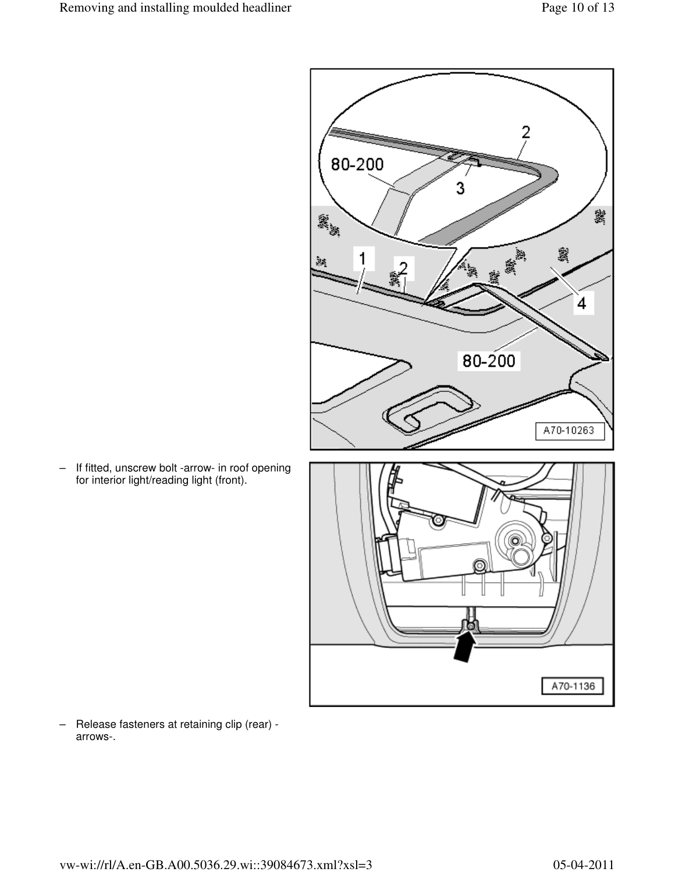

– If fitted, unscrew bolt -arrow- in roof opening for interior light/reading light (front).

– Release fasteners at retaining clip (rear) arrows-.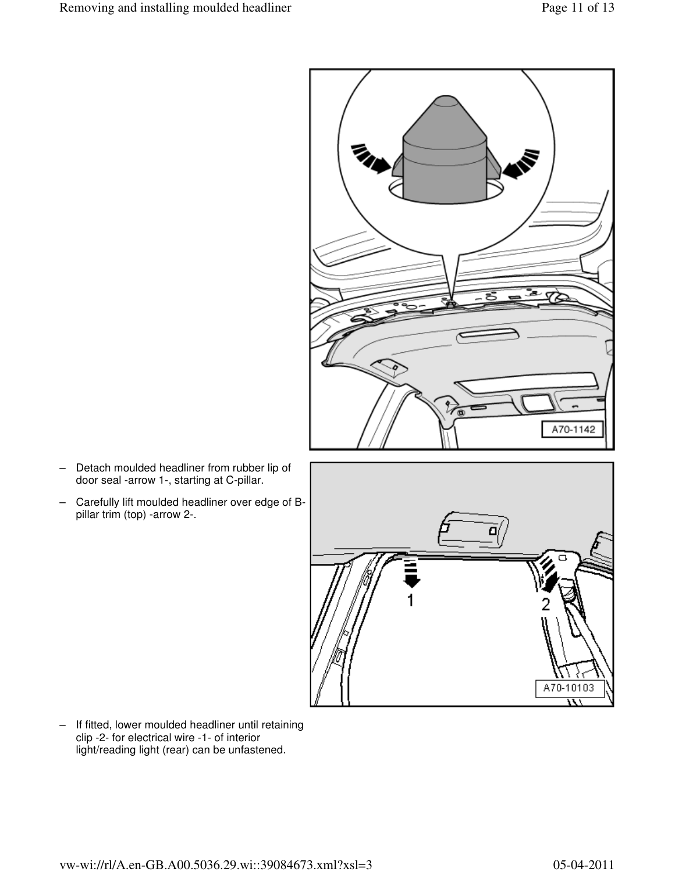

- Detach moulded headliner from rubber lip of door seal -arrow 1-, starting at C-pillar.
- Carefully lift moulded headliner over edge of Bpillar trim (top) -arrow 2-.



– If fitted, lower moulded headliner until retaining clip -2- for electrical wire -1- of interior light/reading light (rear) can be unfastened.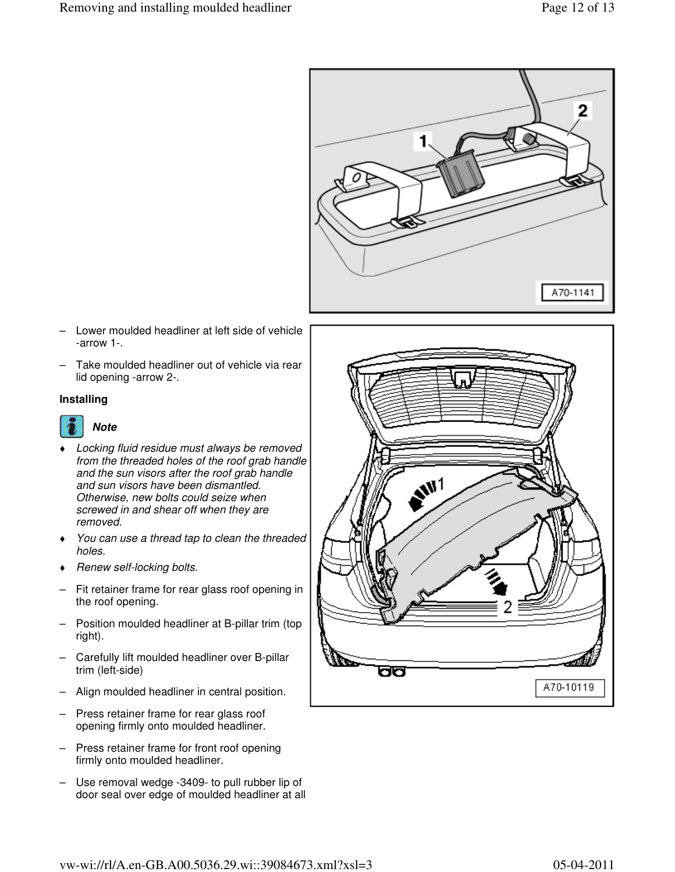

- Lower moulded headliner at left side of vehicle -arrow 1-.
- Take moulded headliner out of vehicle via rear lid opening -arrow 2-.

#### **Installing**



- Locking fluid residue must always be removed from the threaded holes of the roof grab handle and the sun visors after the roof grab handle and sun visors have been dismantled. Otherwise, new bolts could seize when screwed in and shear off when they are removed.
- You can use a thread tap to clean the threaded holes.
- Renew self-locking bolts.
- Fit retainer frame for rear glass roof opening in the roof opening.
- Position moulded headliner at B-pillar trim (top right).
- Carefully lift moulded headliner over B-pillar trim (left-side)
- Align moulded headliner in central position.
- Press retainer frame for rear glass roof opening firmly onto moulded headliner.
- Press retainer frame for front roof opening firmly onto moulded headliner.
- Use removal wedge -3409- to pull rubber lip of door seal over edge of moulded headliner at all